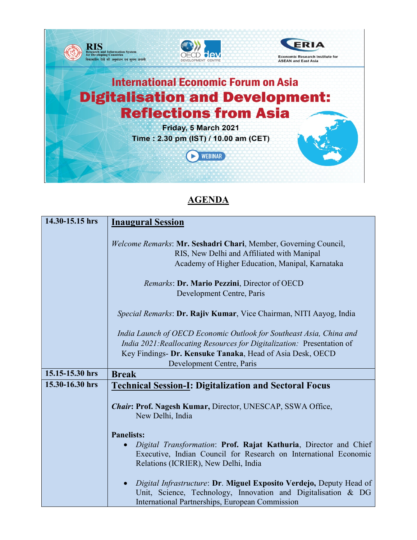

## **AGENDA**

| 14.30-15.15 hrs | <b>Inaugural Session</b>                                                                                                                                                                |
|-----------------|-----------------------------------------------------------------------------------------------------------------------------------------------------------------------------------------|
|                 | Welcome Remarks: Mr. Seshadri Chari, Member, Governing Council,<br>RIS, New Delhi and Affiliated with Manipal<br>Academy of Higher Education, Manipal, Karnataka                        |
|                 | Remarks: Dr. Mario Pezzini, Director of OECD<br>Development Centre, Paris                                                                                                               |
|                 |                                                                                                                                                                                         |
|                 | Special Remarks: Dr. Rajiv Kumar, Vice Chairman, NITI Aayog, India                                                                                                                      |
|                 | India Launch of OECD Economic Outlook for Southeast Asia, China and                                                                                                                     |
|                 | India 2021: Reallocating Resources for Digitalization: Presentation of<br>Key Findings- Dr. Kensuke Tanaka, Head of Asia Desk, OECD                                                     |
|                 | Development Centre, Paris                                                                                                                                                               |
| 15.15-15.30 hrs | <b>Break</b>                                                                                                                                                                            |
| 15.30-16.30 hrs | <b>Technical Session-I: Digitalization and Sectoral Focus</b>                                                                                                                           |
|                 | <b>Chair: Prof. Nagesh Kumar, Director, UNESCAP, SSWA Office,</b><br>New Delhi, India                                                                                                   |
|                 | <b>Panelists:</b>                                                                                                                                                                       |
|                 | Digital Transformation: Prof. Rajat Kathuria, Director and Chief<br>Executive, Indian Council for Research on International Economic<br>Relations (ICRIER), New Delhi, India            |
|                 | Digital Infrastructure: Dr. Miguel Exposito Verdejo, Deputy Head of<br>Unit, Science, Technology, Innovation and Digitalisation & DG<br>International Partnerships, European Commission |